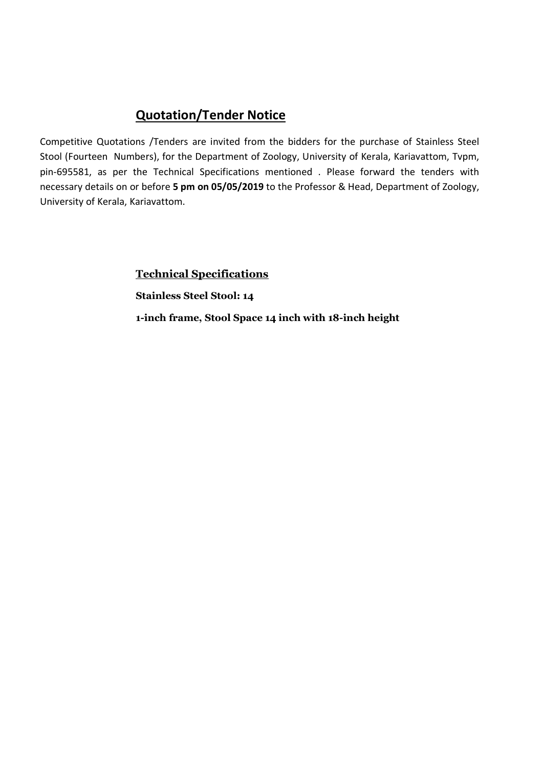Competitive Quotations /Tenders are invited from the bidders for the purchase of Stainless Steel Stool (Fourteen Numbers), for the Department of Zoology, University of Kerala, Kariavattom, Tvpm, pin-695581, as per the Technical Specifications mentioned . Please forward the tenders with necessary details on or before 5 pm on 05/05/2019 to the Professor & Head, Department of Zoology, University of Kerala, Kariavattom.

> Technical Specifications Stainless Steel Stool: 14 1-inch frame, Stool Space 14 inch with 18-inch height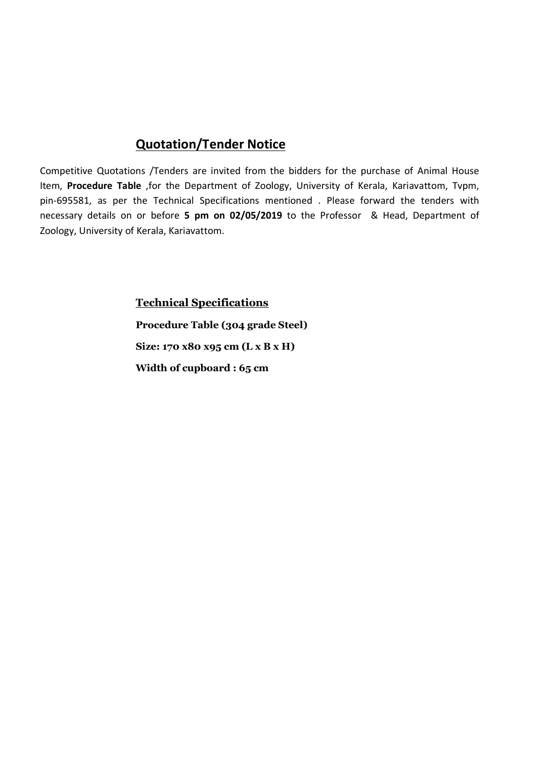Competitive Quotations /Tenders are invited from the bidders for the purchase of Animal House Item, Procedure Table ,for the Department of Zoology, University of Kerala, Kariavattom, Tvpm, pin-695581, as per the Technical Specifications mentioned . Please forward the tenders with necessary details on or before 5 pm on 02/05/2019 to the Professor & Head, Department of Zoology, University of Kerala, Kariavattom.

> Technical Specifications Procedure Table (304 grade Steel) Size: 170 x80 x95 cm (L x B x H) Width of cupboard : 65 cm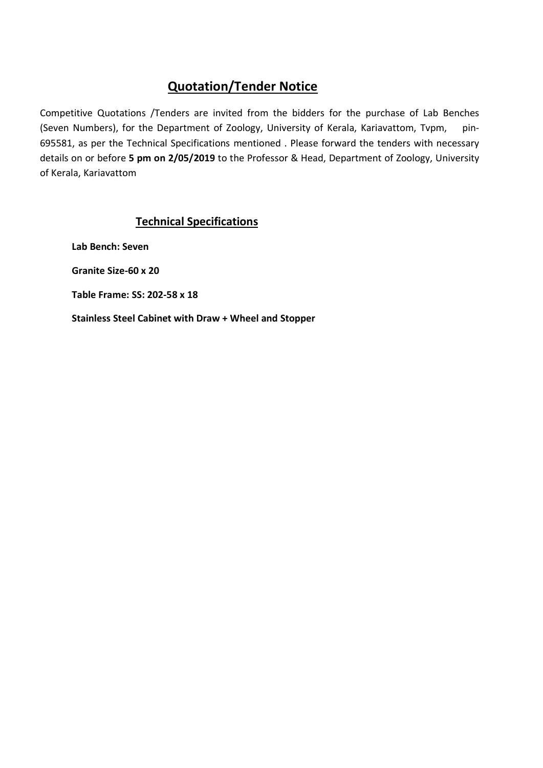Competitive Quotations /Tenders are invited from the bidders for the purchase of Lab Benches (Seven Numbers), for the Department of Zoology, University of Kerala, Kariavattom, Tvpm, pin-695581, as per the Technical Specifications mentioned . Please forward the tenders with necessary details on or before 5 pm on 2/05/2019 to the Professor & Head, Department of Zoology, University of Kerala, Kariavattom

## Technical Specifications

Lab Bench: Seven Granite Size-60 x 20 Table Frame: SS: 202-58 x 18

Stainless Steel Cabinet with Draw + Wheel and Stopper